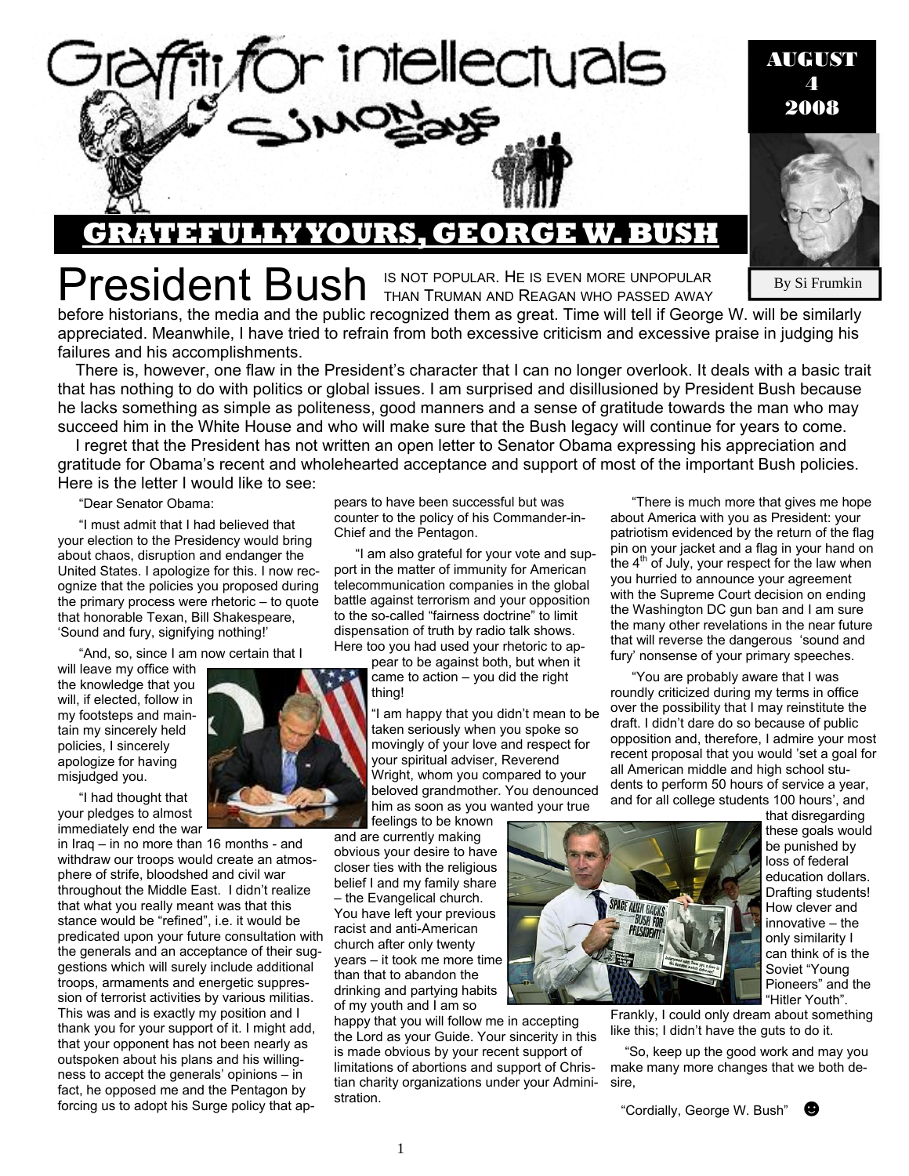

# YOURS. GEORG

President Bush IS NOT POPULAR. HE IS EVEN MORE UNPOPULAR

By Si Frumkin

AUGUST 4 2008

before historians, the media and the public recognized them as great. Time will tell if George W. will be similarly appreciated. Meanwhile, I have tried to refrain from both excessive criticism and excessive praise in judging his failures and his accomplishments.

There is, however, one flaw in the President's character that I can no longer overlook. It deals with a basic trait that has nothing to do with politics or global issues. I am surprised and disillusioned by President Bush because he lacks something as simple as politeness, good manners and a sense of gratitude towards the man who may succeed him in the White House and who will make sure that the Bush legacy will continue for years to come.

I regret that the President has not written an open letter to Senator Obama expressing his appreciation and gratitude for Obama's recent and wholehearted acceptance and support of most of the important Bush policies. Here is the letter I would like to see:

"Dear Senator Obama:

"I must admit that I had believed that your election to the Presidency would bring about chaos, disruption and endanger the United States. I apologize for this. I now recognize that the policies you proposed during the primary process were rhetoric – to quote that honorable Texan, Bill Shakespeare, 'Sound and fury, signifying nothing!'

"And, so, since I am now certain that I

will leave my office with the knowledge that you will, if elected, follow in my footsteps and maintain my sincerely held policies, I sincerely apologize for having misjudged you.

"I had thought that your pledges to almost immediately end the war

in Iraq – in no more than 16 months - and withdraw our troops would create an atmosphere of strife, bloodshed and civil war throughout the Middle East. I didn't realize that what you really meant was that this stance would be "refined", i.e. it would be predicated upon your future consultation with the generals and an acceptance of their suggestions which will surely include additional troops, armaments and energetic suppression of terrorist activities by various militias. This was and is exactly my position and I thank you for your support of it. I might add, that your opponent has not been nearly as outspoken about his plans and his willingness to accept the generals' opinions – in fact, he opposed me and the Pentagon by forcing us to adopt his Surge policy that ap-



"I am also grateful for your vote and support in the matter of immunity for American telecommunication companies in the global battle against terrorism and your opposition to the so-called "fairness doctrine" to limit dispensation of truth by radio talk shows. Here too you had used your rhetoric to ap-

pear to be against both, but when it came to action – you did the right thing!

"I am happy that you didn't mean to be taken seriously when you spoke so movingly of your love and respect for your spiritual adviser, Reverend Wright, whom you compared to your beloved grandmother. You denounced him as soon as you wanted your true

feelings to be known and are currently making obvious your desire to have closer ties with the religious belief I and my family share – the Evangelical church. You have left your previous racist and anti-American church after only twenty years – it took me more time than that to abandon the drinking and partying habits of my youth and I am so

happy that you will follow me in accepting the Lord as your Guide. Your sincerity in this is made obvious by your recent support of limitations of abortions and support of Christian charity organizations under your Administration.



and for all college students 100 hours', and that disregarding these goals would be punished by loss of federal education dollars. Drafting students! How clever and innovative – the only similarity I can think of is the Soviet "Young Pioneers" and the "Hitler Youth".

Frankly, I could only dream about something like this; I didn't have the guts to do it.

 "So, keep up the good work and may you make many more changes that we both desire,

"Cordially, George W. Bush" ☻



"There is much more that gives me hope about America with you as President: your patriotism evidenced by the return of the flag pin on your jacket and a flag in your hand on the  $4<sup>th</sup>$  of July, your respect for the law when you hurried to announce your agreement with the Supreme Court decision on ending the Washington DC gun ban and I am sure the many other revelations in the near future that will reverse the dangerous 'sound and fury' nonsense of your primary speeches. "You are probably aware that I was roundly criticized during my terms in office over the possibility that I may reinstitute the draft. I didn't dare do so because of public opposition and, therefore, I admire your most recent proposal that you would 'set a goal for all American middle and high school students to perform 50 hours of service a year,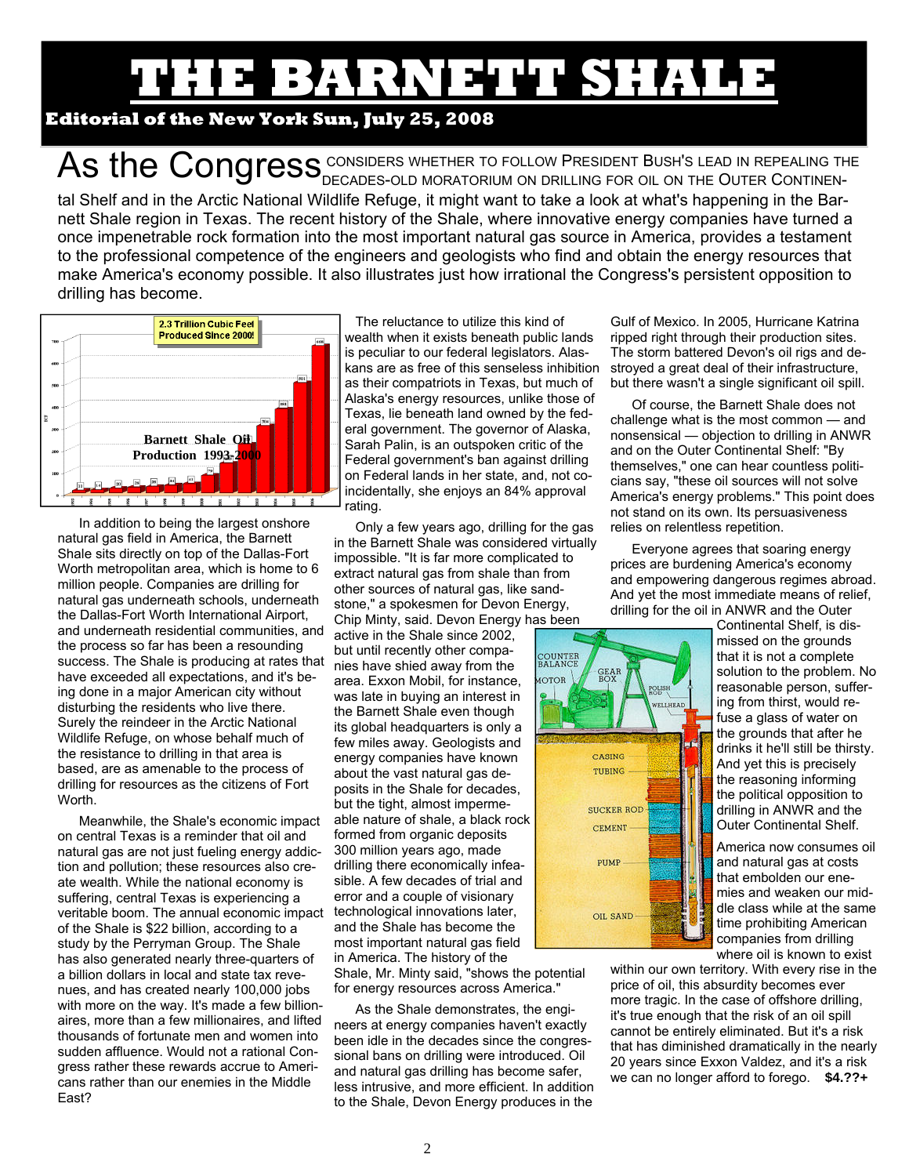# THE BARNEY SHALE SHALE **SHALE**

### **Editorial of the New York Sun, July 25, 2008**

As the Congress <sup>Considers whether to follow President Bush's lead in repealing the continen-</sup> tal Shelf and in the Arctic National Wildlife Refuge, it might want to take a look at what's happening in the Barnett Shale region in Texas. The recent history of the Shale, where innovative energy companies have turned a once impenetrable rock formation into the most important natural gas source in America, provides a testament to the professional competence of the engineers and geologists who find and obtain the energy resources that make America's economy possible. It also illustrates just how irrational the Congress's persistent opposition to drilling has become.



In addition to being the largest onshore natural gas field in America, the Barnett Shale sits directly on top of the Dallas-Fort Worth metropolitan area, which is home to 6 million people. Companies are drilling for natural gas underneath schools, underneath the Dallas-Fort Worth International Airport, and underneath residential communities, and the process so far has been a resounding success. The Shale is producing at rates that have exceeded all expectations, and it's being done in a major American city without disturbing the residents who live there. Surely the reindeer in the Arctic National Wildlife Refuge, on whose behalf much of the resistance to drilling in that area is based, are as amenable to the process of drilling for resources as the citizens of Fort **Worth** 

Meanwhile, the Shale's economic impact on central Texas is a reminder that oil and natural gas are not just fueling energy addiction and pollution; these resources also create wealth. While the national economy is suffering, central Texas is experiencing a veritable boom. The annual economic impact technological innovations later, of the Shale is \$22 billion, according to a study by the Perryman Group. The Shale has also generated nearly three-quarters of a billion dollars in local and state tax revenues, and has created nearly 100,000 jobs with more on the way. It's made a few billionaires, more than a few millionaires, and lifted thousands of fortunate men and women into sudden affluence. Would not a rational Congress rather these rewards accrue to Americans rather than our enemies in the Middle East?

The reluctance to utilize this kind of wealth when it exists beneath public lands is peculiar to our federal legislators. Alaskans are as free of this senseless inhibition as their compatriots in Texas, but much of Alaska's energy resources, unlike those of Texas, lie beneath land owned by the federal government. The governor of Alaska, Sarah Palin, is an outspoken critic of the Federal government's ban against drilling on Federal lands in her state, and, not coincidentally, she enjoys an 84% approval rating.

Only a few years ago, drilling for the gas in the Barnett Shale was considered virtually impossible. "It is far more complicated to extract natural gas from shale than from other sources of natural gas, like sandstone," a spokesmen for Devon Energy, Chip Minty, said. Devon Energy has been

active in the Shale since 2002, but until recently other companies have shied away from the area. Exxon Mobil, for instance, was late in buying an interest in the Barnett Shale even though its global headquarters is only a few miles away. Geologists and energy companies have known about the vast natural gas deposits in the Shale for decades, but the tight, almost impermeable nature of shale, a black rock formed from organic deposits 300 million years ago, made drilling there economically infeasible. A few decades of trial and error and a couple of visionary and the Shale has become the most important natural gas field in America. The history of the

Shale, Mr. Minty said, "shows the potential for energy resources across America."

As the Shale demonstrates, the engineers at energy companies haven't exactly been idle in the decades since the congressional bans on drilling were introduced. Oil and natural gas drilling has become safer, less intrusive, and more efficient. In addition to the Shale, Devon Energy produces in the

Gulf of Mexico. In 2005, Hurricane Katrina ripped right through their production sites. The storm battered Devon's oil rigs and destroyed a great deal of their infrastructure, but there wasn't a single significant oil spill.

Of course, the Barnett Shale does not challenge what is the most common — and nonsensical — objection to drilling in ANWR and on the Outer Continental Shelf: "By themselves," one can hear countless politicians say, "these oil sources will not solve America's energy problems." This point does not stand on its own. Its persuasiveness relies on relentless repetition.

Everyone agrees that soaring energy prices are burdening America's economy and empowering dangerous regimes abroad. And yet the most immediate means of relief, drilling for the oil in ANWR and the Outer



Continental Shelf, is dismissed on the grounds that it is not a complete solution to the problem. No reasonable person, suffering from thirst, would refuse a glass of water on the grounds that after he drinks it he'll still be thirsty. And yet this is precisely the reasoning informing the political opposition to drilling in ANWR and the Outer Continental Shelf.

America now consumes oil and natural gas at costs that embolden our enemies and weaken our middle class while at the same time prohibiting American companies from drilling where oil is known to exist

within our own territory. With every rise in the price of oil, this absurdity becomes ever more tragic. In the case of offshore drilling, it's true enough that the risk of an oil spill cannot be entirely eliminated. But it's a risk that has diminished dramatically in the nearly 20 years since Exxon Valdez, and it's a risk we can no longer afford to forego. **\$4.??+**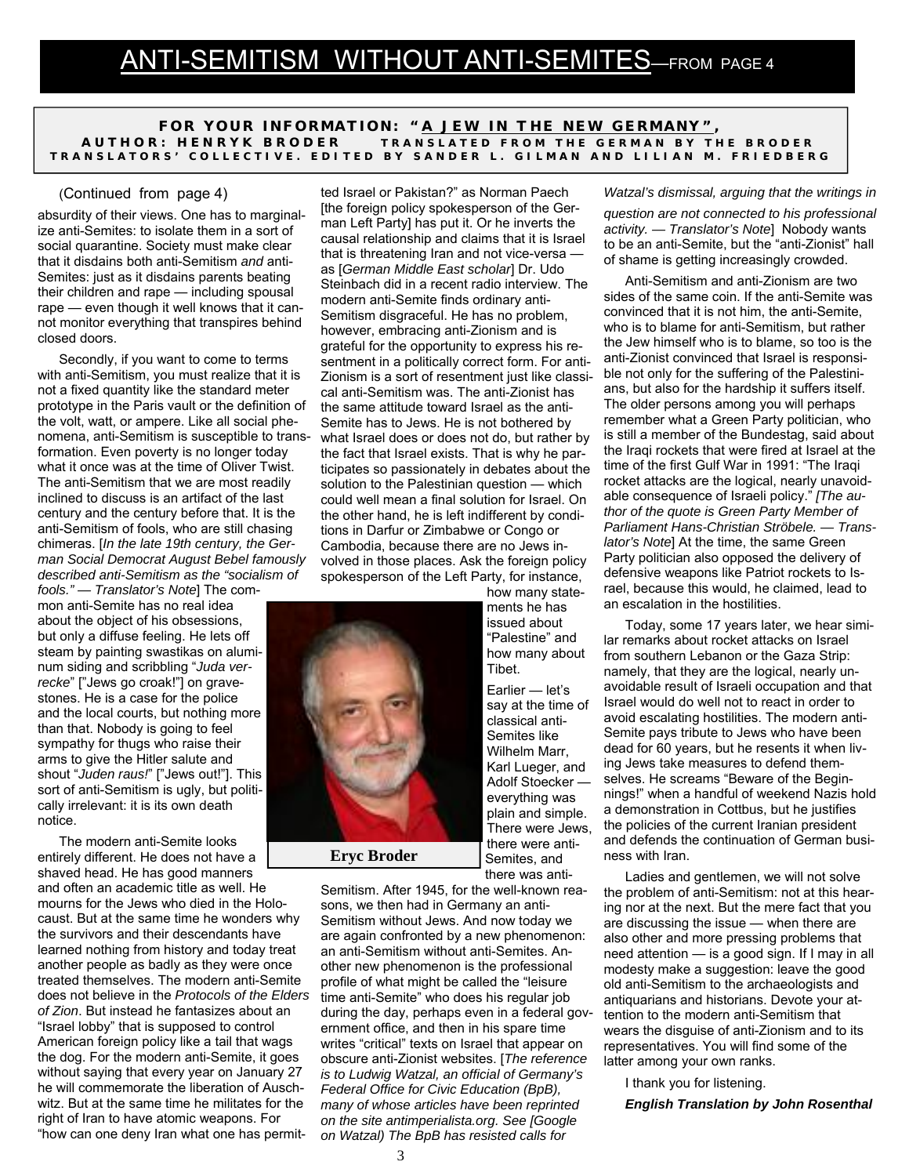**FOR YOUR INFORMATION: "** *A JEW IN THE NEW GERMANY"* **, AUTHOR: HENRYK BRODER TRANSLATED FROM THE GERMAN BY THE BRODER TRANSLATORS' COLLECTIVE. EDITED BY SANDER L. GILMAN AND LILIAN M. FRIEDBERG** 

#### (Continued from page 4)

absurdity of their views. One has to marginalize anti-Semites: to isolate them in a sort of social quarantine. Society must make clear that it disdains both anti-Semitism *and* anti-Semites: just as it disdains parents beating their children and rape — including spousal rape — even though it well knows that it cannot monitor everything that transpires behind closed doors.

Secondly, if you want to come to terms with anti-Semitism, you must realize that it is not a fixed quantity like the standard meter prototype in the Paris vault or the definition of the volt, watt, or ampere. Like all social phenomena, anti-Semitism is susceptible to transformation. Even poverty is no longer today what it once was at the time of Oliver Twist. The anti-Semitism that we are most readily inclined to discuss is an artifact of the last century and the century before that. It is the anti-Semitism of fools, who are still chasing chimeras. [*In the late 19th century, the German Social Democrat August Bebel famously described anti-Semitism as the "socialism of* 

*fools." — Translator's Note*] The common anti-Semite has no real idea about the object of his obsessions, but only a diffuse feeling. He lets off steam by painting swastikas on aluminum siding and scribbling "*Juda verrecke*" ["Jews go croak!"] on gravestones. He is a case for the police and the local courts, but nothing more than that. Nobody is going to feel sympathy for thugs who raise their arms to give the Hitler salute and shout "*Juden raus!*" ["Jews out!"]. This sort of anti-Semitism is ugly, but politically irrelevant: it is its own death notice.

The modern anti-Semite looks entirely different. He does not have a shaved head. He has good manners and often an academic title as well. He mourns for the Jews who died in the Holocaust. But at the same time he wonders why the survivors and their descendants have learned nothing from history and today treat another people as badly as they were once treated themselves. The modern anti-Semite does not believe in the *Protocols of the Elders of Zion*. But instead he fantasizes about an "Israel lobby" that is supposed to control American foreign policy like a tail that wags the dog. For the modern anti-Semite, it goes without saying that every year on January 27 he will commemorate the liberation of Auschwitz. But at the same time he militates for the right of Iran to have atomic weapons. For "how can one deny Iran what one has permit-

ted Israel or Pakistan?" as Norman Paech [the foreign policy spokesperson of the German Left Party] has put it. Or he inverts the causal relationship and claims that it is Israel that is threatening Iran and not vice-versa as [*German Middle East scholar*] Dr. Udo Steinbach did in a recent radio interview. The modern anti-Semite finds ordinary anti-Semitism disgraceful. He has no problem, however, embracing anti-Zionism and is grateful for the opportunity to express his resentment in a politically correct form. For anti-Zionism is a sort of resentment just like classical anti-Semitism was. The anti-Zionist has the same attitude toward Israel as the anti-Semite has to Jews. He is not bothered by what Israel does or does not do, but rather by the fact that Israel exists. That is why he participates so passionately in debates about the solution to the Palestinian question — which could well mean a final solution for Israel. On the other hand, he is left indifferent by conditions in Darfur or Zimbabwe or Congo or Cambodia, because there are no Jews involved in those places. Ask the foreign policy spokesperson of the Left Party, for instance,



Earlier — let's say at the time of classical anti-Semites like Wilhelm Marr, Karl Lueger, and Adolf Stoecker everything was plain and simple. There were Jews, there were anti-Semites, and there was anti-

Semitism. After 1945, for the well-known reasons, we then had in Germany an anti-Semitism without Jews. And now today we are again confronted by a new phenomenon: an anti-Semitism without anti-Semites. Another new phenomenon is the professional profile of what might be called the "leisure time anti-Semite" who does his regular job during the day, perhaps even in a federal government office, and then in his spare time writes "critical" texts on Israel that appear on obscure anti-Zionist websites. [*The reference is to Ludwig Watzal, an official of Germany's Federal Office for Civic Education (BpB), many of whose articles have been reprinted on the site antimperialista.org. See [Google on Watzal) The BpB has resisted calls for* 

#### *Watzal's dismissal, arguing that the writings in*

*question are not connected to his professional activity. — Translator's Note*] Nobody wants to be an anti-Semite, but the "anti-Zionist" hall of shame is getting increasingly crowded.

Anti-Semitism and anti-Zionism are two sides of the same coin. If the anti-Semite was convinced that it is not him, the anti-Semite, who is to blame for anti-Semitism, but rather the Jew himself who is to blame, so too is the anti-Zionist convinced that Israel is responsible not only for the suffering of the Palestinians, but also for the hardship it suffers itself. The older persons among you will perhaps remember what a Green Party politician, who is still a member of the Bundestag, said about the Iraqi rockets that were fired at Israel at the time of the first Gulf War in 1991: "The Iraqi rocket attacks are the logical, nearly unavoidable consequence of Israeli policy." *[The author of the quote is Green Party Member of Parliament Hans-Christian Ströbele. — Translator's Note*] At the time, the same Green Party politician also opposed the delivery of defensive weapons like Patriot rockets to Israel, because this would, he claimed, lead to an escalation in the hostilities.

Today, some 17 years later, we hear similar remarks about rocket attacks on Israel from southern Lebanon or the Gaza Strip: namely, that they are the logical, nearly unavoidable result of Israeli occupation and that Israel would do well not to react in order to avoid escalating hostilities. The modern anti-Semite pays tribute to Jews who have been dead for 60 years, but he resents it when living Jews take measures to defend themselves. He screams "Beware of the Beginnings!" when a handful of weekend Nazis hold a demonstration in Cottbus, but he justifies the policies of the current Iranian president and defends the continuation of German business with Iran.

Ladies and gentlemen, we will not solve the problem of anti-Semitism: not at this hearing nor at the next. But the mere fact that you are discussing the issue — when there are also other and more pressing problems that need attention — is a good sign. If I may in all modesty make a suggestion: leave the good old anti-Semitism to the archaeologists and antiquarians and historians. Devote your attention to the modern anti-Semitism that wears the disguise of anti-Zionism and to its representatives. You will find some of the latter among your own ranks.

I thank you for listening.

*English Translation by John Rosenthal*

**Eryc Broder**